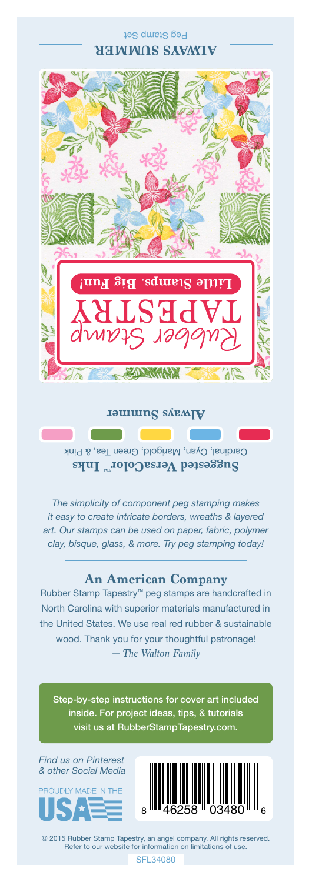## Peg Stamp Set **ALWAYS SUMMER**



#### **Always Summer**

Cardinal, Cyan, Marigold, Green Tea, & Pink Suggested VersaColor<sup>m</sup> Inks

*The simplicity of component peg stamping makes it easy to create intricate borders, wreaths & layered art. Our stamps can be used on paper, fabric, polymer clay, bisque, glass, & more. Try peg stamping today!*

### **An American Company**

*— The Walton Family* Rubber Stamp Tapestry™ peg stamps are handcrafted in North Carolina with superior materials manufactured in the United States. We use real red rubber & sustainable wood. Thank you for your thoughtful patronage!

Step-by-step instructions for cover art included inside. For project ideas, tips, & tutorials visit us at RubberStampTapestry.com.

*Find us on Pinterest & other Social Media*





© 2015 Rubber Stamp Tapestry, an angel company. All rights reserved. Refer to our website for information on limitations of use.